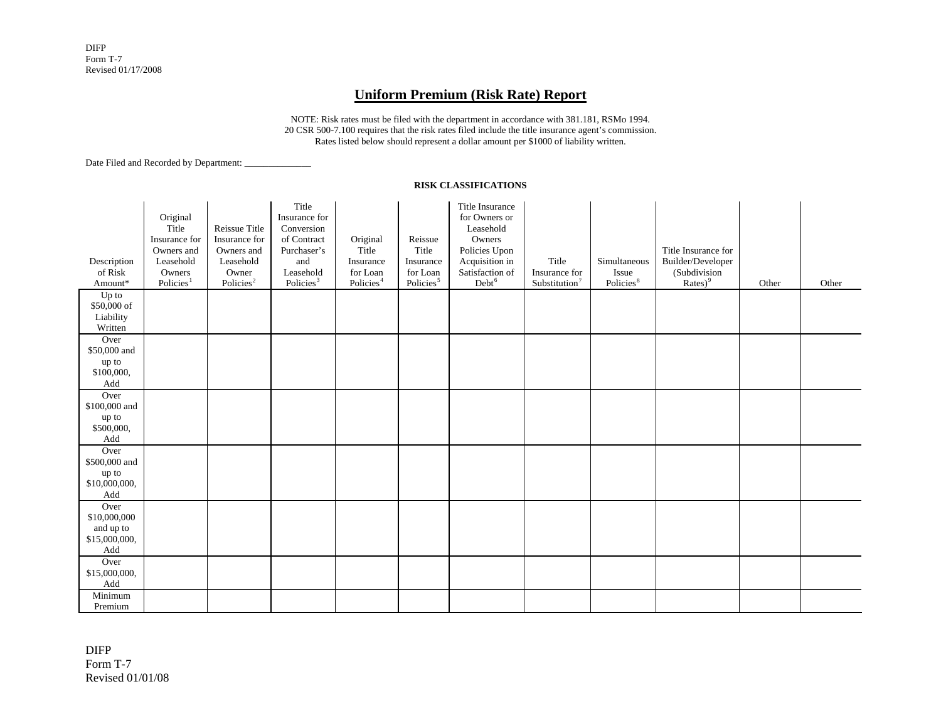DIFP Form T-7 Revised 01/17/2008

## **Uniform Premium (Risk Rate) Report**

NOTE: Risk rates must be filed with the department in accordance with 381.181, RSMo 1994. 20 CSR 500-7.100 requires that the risk rates filed include the title insurance agent's commission. Rates listed below should represent a dollar amount per \$1000 of liability written.

Date Filed and Recorded by Department:

## **RISK CLASSIFICATIONS**

| Description<br>of Risk<br>Amount* | Original<br>Title<br>Insurance for<br>Owners and<br>Leasehold<br>Owners<br>Policies <sup>1</sup> | <b>Reissue Title</b><br>Insurance for<br>Owners and<br>Leasehold<br>Owner<br>Policies <sup>2</sup> | Title<br>Insurance for<br>Conversion<br>of Contract<br>Purchaser's<br>and<br>Leasehold<br>Policies <sup>3</sup> | Original<br>Title<br>Insurance<br>for Loan<br>Policies <sup>4</sup> | Reissue<br>Title<br>Insurance<br>for Loan<br>Policies <sup>5</sup> | Title Insurance<br>for Owners or<br>Leasehold<br>Owners<br>Policies Upon<br>Acquisition in<br>Satisfaction of<br>$Debt^6$ | Title<br>Insurance for<br>Substitution <sup>7</sup> | Simultaneous<br>Issue<br>Policies <sup>8</sup> | Title Insurance for<br>Builder/Developer<br>(Subdivision<br>Rates) <sup>9</sup> | Other | Other |
|-----------------------------------|--------------------------------------------------------------------------------------------------|----------------------------------------------------------------------------------------------------|-----------------------------------------------------------------------------------------------------------------|---------------------------------------------------------------------|--------------------------------------------------------------------|---------------------------------------------------------------------------------------------------------------------------|-----------------------------------------------------|------------------------------------------------|---------------------------------------------------------------------------------|-------|-------|
| Up to                             |                                                                                                  |                                                                                                    |                                                                                                                 |                                                                     |                                                                    |                                                                                                                           |                                                     |                                                |                                                                                 |       |       |
| \$50,000 of                       |                                                                                                  |                                                                                                    |                                                                                                                 |                                                                     |                                                                    |                                                                                                                           |                                                     |                                                |                                                                                 |       |       |
| Liability                         |                                                                                                  |                                                                                                    |                                                                                                                 |                                                                     |                                                                    |                                                                                                                           |                                                     |                                                |                                                                                 |       |       |
| Written                           |                                                                                                  |                                                                                                    |                                                                                                                 |                                                                     |                                                                    |                                                                                                                           |                                                     |                                                |                                                                                 |       |       |
| Over                              |                                                                                                  |                                                                                                    |                                                                                                                 |                                                                     |                                                                    |                                                                                                                           |                                                     |                                                |                                                                                 |       |       |
| \$50,000 and                      |                                                                                                  |                                                                                                    |                                                                                                                 |                                                                     |                                                                    |                                                                                                                           |                                                     |                                                |                                                                                 |       |       |
| up to                             |                                                                                                  |                                                                                                    |                                                                                                                 |                                                                     |                                                                    |                                                                                                                           |                                                     |                                                |                                                                                 |       |       |
| \$100,000,                        |                                                                                                  |                                                                                                    |                                                                                                                 |                                                                     |                                                                    |                                                                                                                           |                                                     |                                                |                                                                                 |       |       |
| Add                               |                                                                                                  |                                                                                                    |                                                                                                                 |                                                                     |                                                                    |                                                                                                                           |                                                     |                                                |                                                                                 |       |       |
| Over                              |                                                                                                  |                                                                                                    |                                                                                                                 |                                                                     |                                                                    |                                                                                                                           |                                                     |                                                |                                                                                 |       |       |
| \$100,000 and                     |                                                                                                  |                                                                                                    |                                                                                                                 |                                                                     |                                                                    |                                                                                                                           |                                                     |                                                |                                                                                 |       |       |
| up to<br>\$500,000,               |                                                                                                  |                                                                                                    |                                                                                                                 |                                                                     |                                                                    |                                                                                                                           |                                                     |                                                |                                                                                 |       |       |
| $\operatorname{\mathsf{Add}}$     |                                                                                                  |                                                                                                    |                                                                                                                 |                                                                     |                                                                    |                                                                                                                           |                                                     |                                                |                                                                                 |       |       |
| Over                              |                                                                                                  |                                                                                                    |                                                                                                                 |                                                                     |                                                                    |                                                                                                                           |                                                     |                                                |                                                                                 |       |       |
| \$500,000 and                     |                                                                                                  |                                                                                                    |                                                                                                                 |                                                                     |                                                                    |                                                                                                                           |                                                     |                                                |                                                                                 |       |       |
| up to                             |                                                                                                  |                                                                                                    |                                                                                                                 |                                                                     |                                                                    |                                                                                                                           |                                                     |                                                |                                                                                 |       |       |
| \$10,000,000,                     |                                                                                                  |                                                                                                    |                                                                                                                 |                                                                     |                                                                    |                                                                                                                           |                                                     |                                                |                                                                                 |       |       |
| $\operatorname{\mathsf{Add}}$     |                                                                                                  |                                                                                                    |                                                                                                                 |                                                                     |                                                                    |                                                                                                                           |                                                     |                                                |                                                                                 |       |       |
| Over                              |                                                                                                  |                                                                                                    |                                                                                                                 |                                                                     |                                                                    |                                                                                                                           |                                                     |                                                |                                                                                 |       |       |
| \$10,000,000                      |                                                                                                  |                                                                                                    |                                                                                                                 |                                                                     |                                                                    |                                                                                                                           |                                                     |                                                |                                                                                 |       |       |
| and up to                         |                                                                                                  |                                                                                                    |                                                                                                                 |                                                                     |                                                                    |                                                                                                                           |                                                     |                                                |                                                                                 |       |       |
| \$15,000,000,                     |                                                                                                  |                                                                                                    |                                                                                                                 |                                                                     |                                                                    |                                                                                                                           |                                                     |                                                |                                                                                 |       |       |
| Add                               |                                                                                                  |                                                                                                    |                                                                                                                 |                                                                     |                                                                    |                                                                                                                           |                                                     |                                                |                                                                                 |       |       |
| Over                              |                                                                                                  |                                                                                                    |                                                                                                                 |                                                                     |                                                                    |                                                                                                                           |                                                     |                                                |                                                                                 |       |       |
| \$15,000,000,                     |                                                                                                  |                                                                                                    |                                                                                                                 |                                                                     |                                                                    |                                                                                                                           |                                                     |                                                |                                                                                 |       |       |
| Add                               |                                                                                                  |                                                                                                    |                                                                                                                 |                                                                     |                                                                    |                                                                                                                           |                                                     |                                                |                                                                                 |       |       |
| Minimum                           |                                                                                                  |                                                                                                    |                                                                                                                 |                                                                     |                                                                    |                                                                                                                           |                                                     |                                                |                                                                                 |       |       |
| Premium                           |                                                                                                  |                                                                                                    |                                                                                                                 |                                                                     |                                                                    |                                                                                                                           |                                                     |                                                |                                                                                 |       |       |